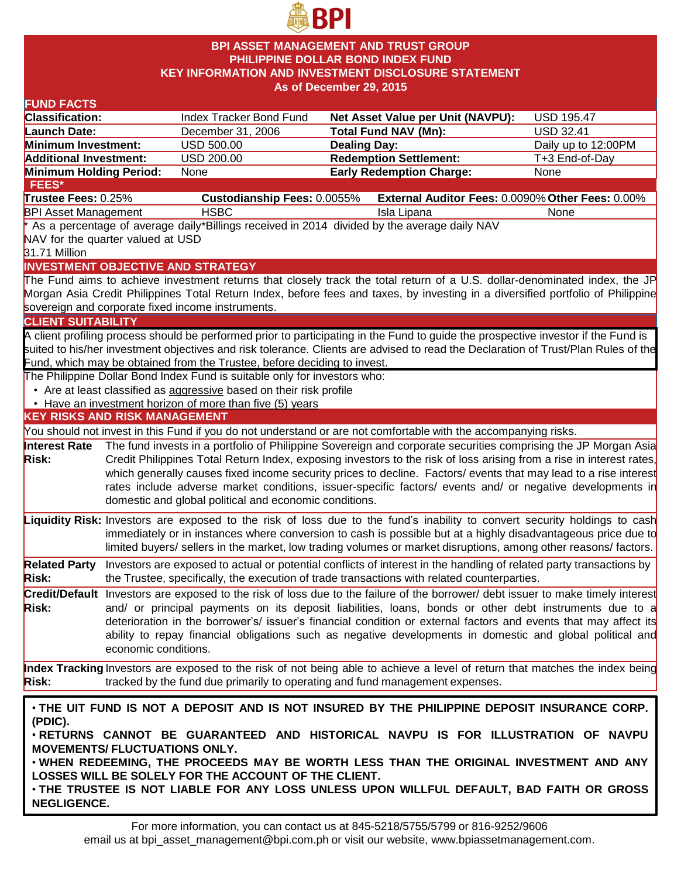

## **BPI ASSET MANAGEMENT AND TRUST GROUP PHILIPPINE DOLLAR BOND INDEX FUND KEY INFORMATION AND INVESTMENT DISCLOSURE STATEMENT As of December 29, 2015**

## **FUND FACTS**

| FUND FACTS                                                                               |                                      |                                                                                             |                     |                                                                                                                                    |                     |
|------------------------------------------------------------------------------------------|--------------------------------------|---------------------------------------------------------------------------------------------|---------------------|------------------------------------------------------------------------------------------------------------------------------------|---------------------|
| <b>Classification:</b>                                                                   |                                      | Index Tracker Bond Fund                                                                     |                     | Net Asset Value per Unit (NAVPU):                                                                                                  | <b>USD 195.47</b>   |
| Launch Date:                                                                             |                                      | December 31, 2006                                                                           |                     | <b>Total Fund NAV (Mn):</b>                                                                                                        | <b>USD 32.41</b>    |
| Minimum Investment:                                                                      |                                      | USD 500.00                                                                                  | <b>Dealing Day:</b> |                                                                                                                                    | Daily up to 12:00PM |
| <b>Additional Investment:</b>                                                            |                                      | USD 200.00                                                                                  |                     | <b>Redemption Settlement:</b>                                                                                                      | T+3 End-of-Day      |
| Minimum Holding Period:                                                                  |                                      | None                                                                                        |                     | <b>Early Redemption Charge:</b>                                                                                                    | None                |
| FEES*                                                                                    |                                      |                                                                                             |                     |                                                                                                                                    |                     |
| Trustee Fees: 0.25%                                                                      |                                      | <b>Custodianship Fees: 0.0055%</b>                                                          |                     | External Auditor Fees: 0.0090% Other Fees: 0.00%                                                                                   |                     |
| <b>BPI Asset Management</b>                                                              |                                      | <b>HSBC</b>                                                                                 |                     | Isla Lipana                                                                                                                        | None                |
|                                                                                          |                                      | As a percentage of average daily*Billings received in 2014 divided by the average daily NAV |                     |                                                                                                                                    |                     |
| NAV for the quarter valued at USD                                                        |                                      |                                                                                             |                     |                                                                                                                                    |                     |
| 31.71 Million                                                                            |                                      |                                                                                             |                     |                                                                                                                                    |                     |
|                                                                                          |                                      | <b>INVESTMENT OBJECTIVE AND STRATEGY</b>                                                    |                     |                                                                                                                                    |                     |
|                                                                                          |                                      |                                                                                             |                     | The Fund aims to achieve investment returns that closely track the total return of a U.S. dollar-denominated index, the JP         |                     |
|                                                                                          |                                      |                                                                                             |                     | Morgan Asia Credit Philippines Total Return Index, before fees and taxes, by investing in a diversified portfolio of Philippine    |                     |
|                                                                                          |                                      | sovereign and corporate fixed income instruments.                                           |                     |                                                                                                                                    |                     |
| <b>CLIENT SUITABILITY</b>                                                                |                                      |                                                                                             |                     |                                                                                                                                    |                     |
|                                                                                          |                                      |                                                                                             |                     | A client profiling process should be performed prior to participating in the Fund to guide the prospective investor if the Fund is |                     |
|                                                                                          |                                      |                                                                                             |                     | suited to his/her investment objectives and risk tolerance. Clients are advised to read the Declaration of Trust/Plan Rules of the |                     |
|                                                                                          |                                      | Fund, which may be obtained from the Trustee, before deciding to invest.                    |                     |                                                                                                                                    |                     |
|                                                                                          |                                      | The Philippine Dollar Bond Index Fund is suitable only for investors who:                   |                     |                                                                                                                                    |                     |
|                                                                                          |                                      | • Are at least classified as aggressive based on their risk profile                         |                     |                                                                                                                                    |                     |
|                                                                                          |                                      | • Have an investment horizon of more than five (5) years                                    |                     |                                                                                                                                    |                     |
| <b>KEY RISKS AND RISK MANAGEMENT</b>                                                     |                                      |                                                                                             |                     |                                                                                                                                    |                     |
|                                                                                          |                                      |                                                                                             |                     | You should not invest in this Fund if you do not understand or are not comfortable with the accompanying risks.                    |                     |
| <b>Interest Rate</b>                                                                     |                                      |                                                                                             |                     | The fund invests in a portfolio of Philippine Sovereign and corporate securities comprising the JP Morgan Asia                     |                     |
| <b>Risk:</b>                                                                             |                                      |                                                                                             |                     | Credit Philippines Total Return Index, exposing investors to the risk of loss arising from a rise in interest rates,               |                     |
|                                                                                          |                                      |                                                                                             |                     | which generally causes fixed income security prices to decline. Factors/ events that may lead to a rise interest                   |                     |
|                                                                                          |                                      |                                                                                             |                     | rates include adverse market conditions, issuer-specific factors/ events and/ or negative developments in                          |                     |
|                                                                                          |                                      | domestic and global political and economic conditions.                                      |                     |                                                                                                                                    |                     |
|                                                                                          |                                      |                                                                                             |                     | Liquidity Risk: Investors are exposed to the risk of loss due to the fund's inability to convert security holdings to cash         |                     |
|                                                                                          |                                      |                                                                                             |                     | immediately or in instances where conversion to cash is possible but at a highly disadvantageous price due to                      |                     |
|                                                                                          |                                      |                                                                                             |                     | limited buyers/ sellers in the market, low trading volumes or market disruptions, among other reasons/ factors.                    |                     |
| <b>Related Party</b>                                                                     |                                      |                                                                                             |                     | Investors are exposed to actual or potential conflicts of interest in the handling of related party transactions by                |                     |
| <b>Risk:</b>                                                                             |                                      |                                                                                             |                     | the Trustee, specifically, the execution of trade transactions with related counterparties.                                        |                     |
|                                                                                          |                                      |                                                                                             |                     |                                                                                                                                    |                     |
|                                                                                          |                                      |                                                                                             |                     | Credit/Default Investors are exposed to the risk of loss due to the failure of the borrower/ debt issuer to make timely interest   |                     |
| <b>Risk:</b>                                                                             |                                      |                                                                                             |                     | and/ or principal payments on its deposit liabilities, loans, bonds or other debt instruments due to a                             |                     |
|                                                                                          |                                      |                                                                                             |                     | deterioration in the borrower's/ issuer's financial condition or external factors and events that may affect its                   |                     |
|                                                                                          |                                      |                                                                                             |                     | ability to repay financial obligations such as negative developments in domestic and global political and                          |                     |
|                                                                                          | economic conditions.                 |                                                                                             |                     |                                                                                                                                    |                     |
|                                                                                          |                                      |                                                                                             |                     | Index Tracking Investors are exposed to the risk of not being able to achieve a level of return that matches the index being       |                     |
| <b>Risk:</b>                                                                             |                                      | tracked by the fund due primarily to operating and fund management expenses.                |                     |                                                                                                                                    |                     |
|                                                                                          |                                      |                                                                                             |                     |                                                                                                                                    |                     |
|                                                                                          |                                      |                                                                                             |                     | . THE UIT FUND IS NOT A DEPOSIT AND IS NOT INSURED BY THE PHILIPPINE DEPOSIT INSURANCE CORP.                                       |                     |
| (PDIC).                                                                                  |                                      |                                                                                             |                     |                                                                                                                                    |                     |
| . RETURNS CANNOT BE GUARANTEED AND HISTORICAL NAVPU IS FOR ILLUSTRATION OF NAVPU         |                                      |                                                                                             |                     |                                                                                                                                    |                     |
|                                                                                          | <b>MOVEMENTS/ FLUCTUATIONS ONLY.</b> |                                                                                             |                     |                                                                                                                                    |                     |
|                                                                                          |                                      |                                                                                             |                     | . WHEN REDEEMING, THE PROCEEDS MAY BE WORTH LESS THAN THE ORIGINAL INVESTMENT AND ANY                                              |                     |
|                                                                                          |                                      | LOSSES WILL BE SOLELY FOR THE ACCOUNT OF THE CLIENT.                                        |                     |                                                                                                                                    |                     |
| . THE TRUSTEE IS NOT LIABLE FOR ANY LOSS UNLESS UPON WILLFUL DEFAULT, BAD FAITH OR GROSS |                                      |                                                                                             |                     |                                                                                                                                    |                     |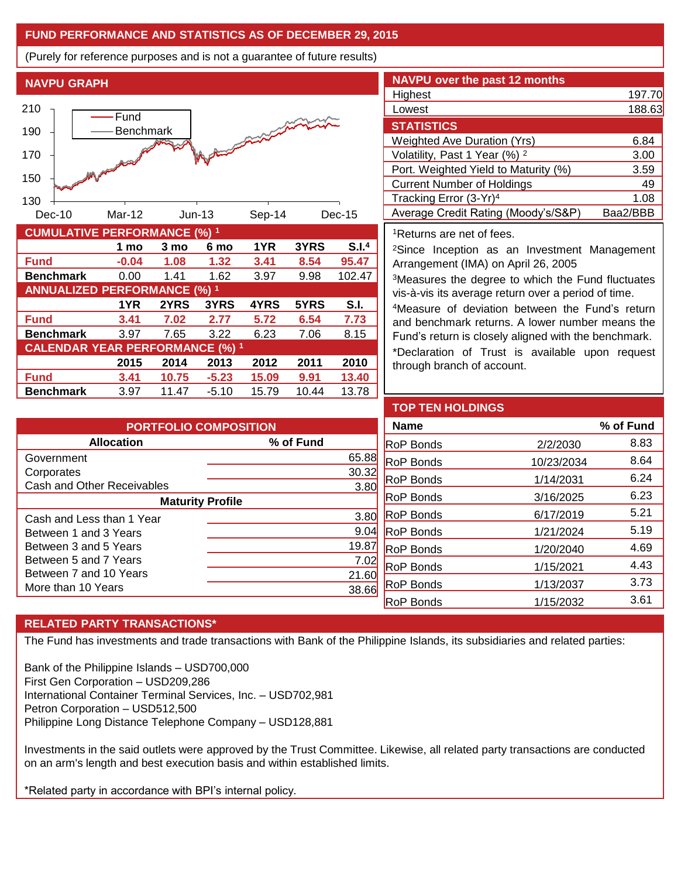# **FUND PERFORMANCE AND STATISTICS AS OF DECEMBER 29, 2015**

(Purely for reference purposes and is not a guarantee of future results)

**NAVPU GRAPH**



| <u> JUNIOLATI I LI LINI JINIAN JE (70)</u> |         |       |         |       |       |        |
|--------------------------------------------|---------|-------|---------|-------|-------|--------|
|                                            | 1 mo    | 3 mo  | 6 mo    | 1YR   | 3YRS  | S.I.4  |
| <b>Fund</b>                                | $-0.04$ | 1.08  | 1.32    | 3.41  | 8.54  | 95.47  |
| <b>Benchmark</b>                           | 0.00    | 1.41  | 1.62    | 3.97  | 9.98  | 102.47 |
| <b>ANNUALIZED PERFORMANCE (%) 1</b>        |         |       |         |       |       |        |
|                                            | 1YR     | 2YRS  | 3YRS    | 4YRS  | 5YRS  | S.I.   |
| <b>Fund</b>                                | 3.41    | 7.02  | 2.77    | 5.72  | 6.54  | 7.73   |
| <b>Benchmark</b>                           | 3.97    | 7.65  | 3.22    | 6.23  | 7.06  | 8.15   |
| <b>CALENDAR YEAR PERFORMANCE (%) 1</b>     |         |       |         |       |       |        |
|                                            | 2015    | 2014  | 2013    | 2012  | 2011  | 2010   |
| <b>Fund</b>                                | 3.41    | 10.75 | $-5.23$ | 15.09 | 9.91  | 13.40  |
| <b>Benchmark</b>                           | 3.97    | 11.47 | $-5.10$ | 15.79 | 10.44 | 13.78  |

| <b>NAVPU</b> over the past 12 months     |          |
|------------------------------------------|----------|
| Highest                                  | 197.70   |
| Lowest                                   | 188.63   |
| <b>STATISTICS</b>                        |          |
| <b>Weighted Ave Duration (Yrs)</b>       | 6.84     |
| Volatility, Past 1 Year (%) <sup>2</sup> | 3.00     |
| Port. Weighted Yield to Maturity (%)     | 3.59     |
| <b>Current Number of Holdings</b>        | 49       |
| Tracking Error (3-Yr) <sup>4</sup>       | 1.08     |
| Average Credit Rating (Moody's/S&P)      | Baa2/BBB |

<sup>1</sup>Returns are net of fees.

<sup>2</sup>Since Inception as an Investment Management Arrangement (IMA) on April 26, 2005

<sup>3</sup>Measures the degree to which the Fund fluctuates vis-à-vis its average return over a period of time.

<sup>4</sup>Measure of deviation between the Fund's return and benchmark returns. A lower number means the Fund's return is closely aligned with the benchmark.

\*Declaration of Trust is available upon request through branch of account.

| <b>PORTFOLIO COMPOSITION</b> |           |  |  |  |
|------------------------------|-----------|--|--|--|
| <b>Allocation</b>            | % of Fund |  |  |  |
| Government                   | 65.88     |  |  |  |
| Corporates                   | 30.32     |  |  |  |
| Cash and Other Receivables   | 3.80      |  |  |  |
| <b>Maturity Profile</b>      |           |  |  |  |
| Cash and Less than 1 Year    | 3.80      |  |  |  |
| Between 1 and 3 Years        | 9.04      |  |  |  |
| Between 3 and 5 Years        | 19.87     |  |  |  |
| Between 5 and 7 Years        | 7.02      |  |  |  |
| Between 7 and 10 Years       | 21.60     |  |  |  |
| More than 10 Years           |           |  |  |  |

| <b>TOP TEN HOLDINGS</b> |            |           |
|-------------------------|------------|-----------|
| <b>Name</b>             |            | % of Fund |
| <b>RoP Bonds</b>        | 2/2/2030   | 8.83      |
| <b>RoP Bonds</b>        | 10/23/2034 | 8.64      |
| <b>RoP Bonds</b>        | 1/14/2031  | 6.24      |
| <b>RoP Bonds</b>        | 3/16/2025  | 6.23      |
| <b>RoP Bonds</b>        | 6/17/2019  | 5.21      |
| <b>RoP Bonds</b>        | 1/21/2024  | 5.19      |
| <b>RoP Bonds</b>        | 1/20/2040  | 4.69      |
| <b>RoP Bonds</b>        | 1/15/2021  | 4.43      |
| <b>RoP Bonds</b>        | 1/13/2037  | 3.73      |
| <b>RoP Bonds</b>        | 1/15/2032  | 3.61      |

# **RELATED PARTY TRANSACTIONS\***

The Fund has investments and trade transactions with Bank of the Philippine Islands, its subsidiaries and related parties:

Bank of the Philippine Islands – USD700,000 First Gen Corporation – USD209,286 International Container Terminal Services, Inc. – USD702,981 Petron Corporation – USD512,500 Philippine Long Distance Telephone Company – USD128,881

Investments in the said outlets were approved by the Trust Committee. Likewise, all related party transactions are conducted on an arm's length and best execution basis and within established limits.

\*Related party in accordance with BPI's internal policy.